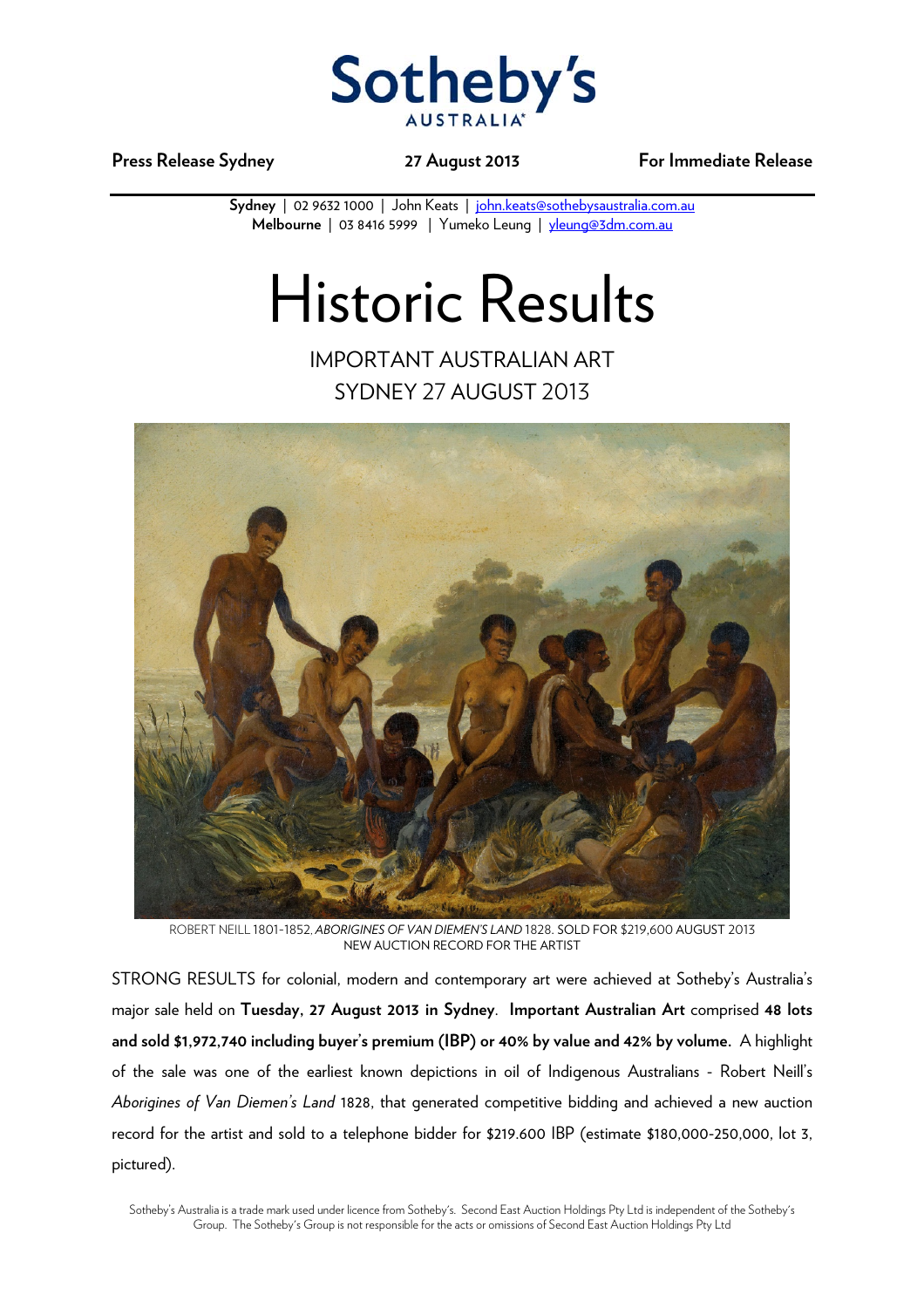

**Press Release Sydney 27 August 2013 For Immediate Release** 

Sydney | 02 9632 1000 | John Keats | john.keats@sothebysaustralia.com.au **Melbourne** | 03 8416 5999 | Yumeko Leung | yleung@3dm.com.au

## Historic Results

IMPORTANT AUSTRALIAN ART SYDNEY 27 AUGUST 2013



ROBERT NEILL 1801-1852, *ABORIGINES OF VAN DIEMEN'S LAND* 1828. SOLD FOR \$219,600 AUGUST 2013 NEW AUCTION RECORD FOR THE ARTIST

STRONG RESULTS for colonial, modern and contemporary art were achieved at Sotheby's Australia's major sale held on **Tuesday, 27 August 2013 in Sydney**. **Important Australian Art** comprised **48 lots and sold \$1,972,740 including buyer's premium (IBP) or 40% by value and 42% by volume.** A highlight of the sale was one of the earliest known depictions in oil of Indigenous Australians - Robert Neill's *Aborigines of Van Diemen's Land* 1828, that generated competitive bidding and achieved a new auction record for the artist and sold to a telephone bidder for \$219.600 IBP (estimate \$180,000-250,000, lot 3, pictured).

Sotheby's Australia is a trade mark used under licence from Sotheby's. Second East Auction Holdings Pty Ltd is independent of the Sotheby's Group. The Sotheby's Group is not responsible for the acts or omissions of Second East Auction Holdings Pty Ltd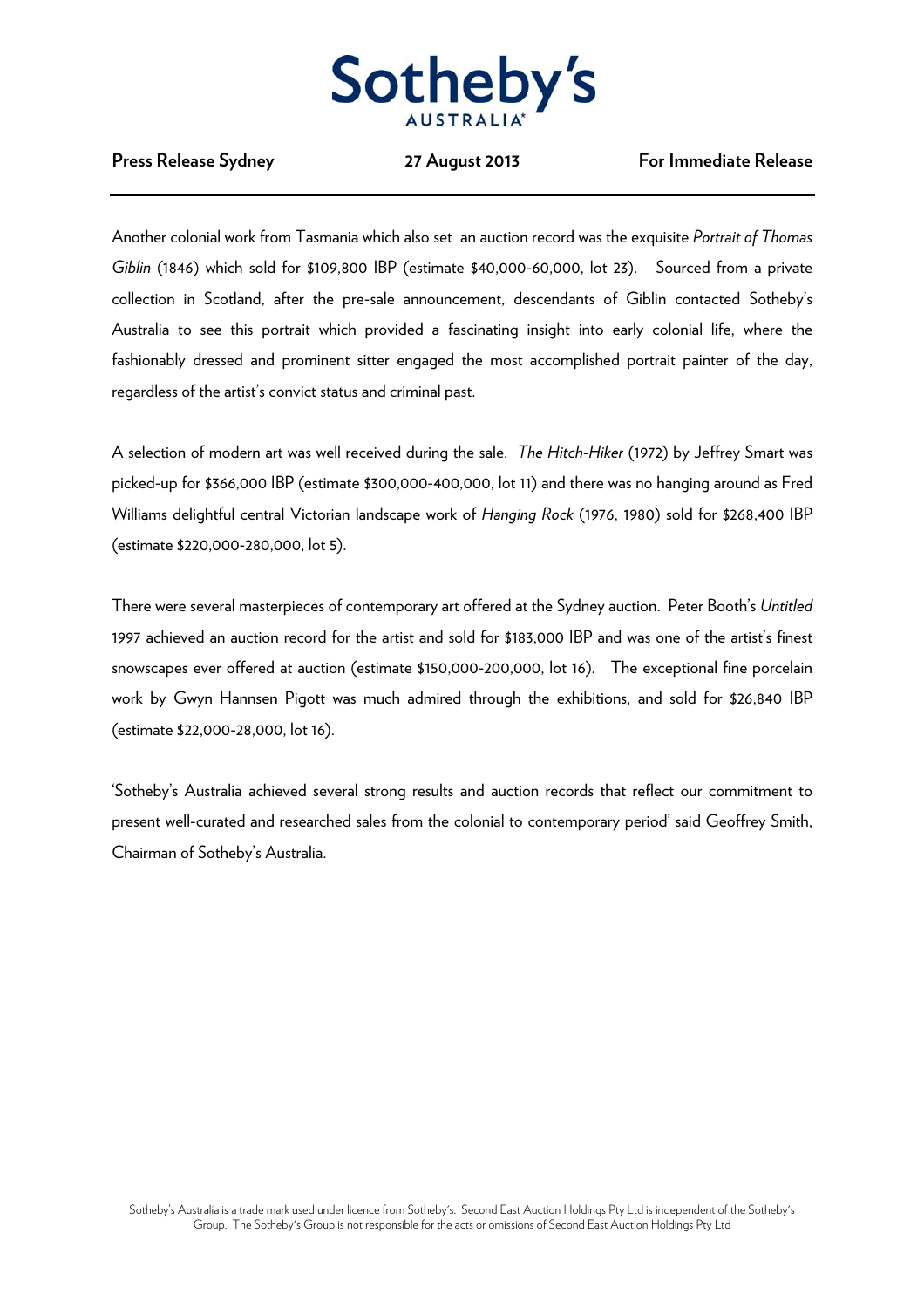

## **Press Release Sydney 27 August 2013 For Immediate Release**

Another colonial work from Tasmania which also set an auction record was the exquisite *Portrait of Thomas Giblin* (1846) which sold for \$109,800 IBP (estimate \$40,000-60,000, lot 23). Sourced from a private collection in Scotland, after the pre-sale announcement, descendants of Giblin contacted Sotheby's Australia to see this portrait which provided a fascinating insight into early colonial life, where the fashionably dressed and prominent sitter engaged the most accomplished portrait painter of the day, regardless of the artist's convict status and criminal past.

A selection of modern art was well received during the sale. *The Hitch-Hiker* (1972) by Jeffrey Smart was picked-up for \$366,000 IBP (estimate \$300,000-400,000, lot 11) and there was no hanging around as Fred Williams delightful central Victorian landscape work of *Hanging Rock* (1976, 1980) sold for \$268,400 IBP (estimate \$220,000-280,000, lot 5).

There were several masterpieces of contemporary art offered at the Sydney auction. Peter Booth's *Untitled* 1997 achieved an auction record for the artist and sold for \$183,000 IBP and was one of the artist's finest snowscapes ever offered at auction (estimate \$150,000-200,000, lot 16). The exceptional fine porcelain work by Gwyn Hannsen Pigott was much admired through the exhibitions, and sold for \$26,840 IBP (estimate \$22,000-28,000, lot 16).

'Sotheby's Australia achieved several strong results and auction records that reflect our commitment to present well-curated and researched sales from the colonial to contemporary period' said Geoffrey Smith, Chairman of Sotheby's Australia.